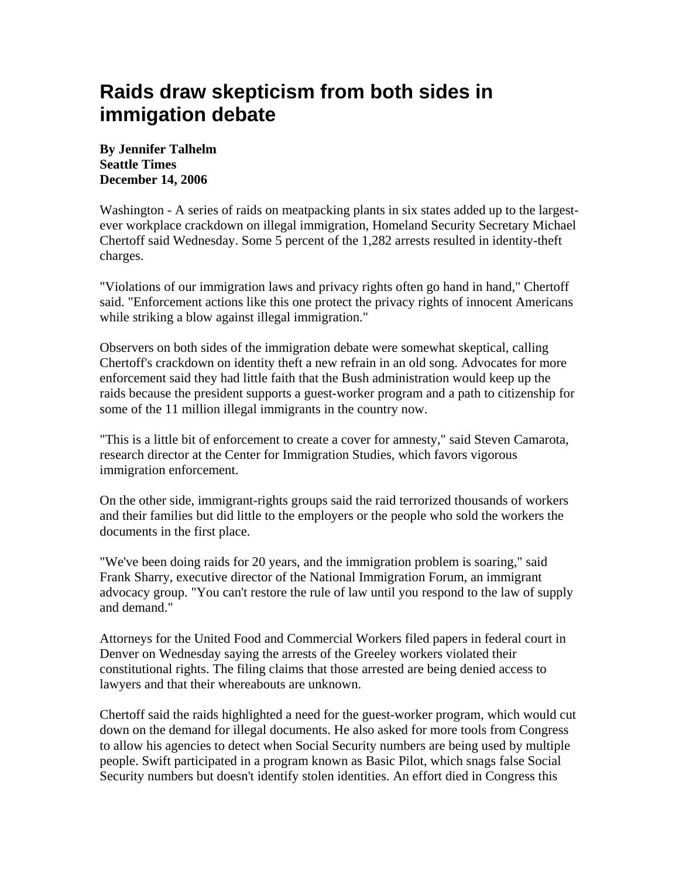## **Raids draw skepticism from both sides in immigation debate**

**By Jennifer Talhelm Seattle Times December 14, 2006** 

Washington - A series of raids on meatpacking plants in six states added up to the largestever workplace crackdown on illegal immigration, Homeland Security Secretary Michael Chertoff said Wednesday. Some 5 percent of the 1,282 arrests resulted in identity-theft charges.

"Violations of our immigration laws and privacy rights often go hand in hand," Chertoff said. "Enforcement actions like this one protect the privacy rights of innocent Americans while striking a blow against illegal immigration."

Observers on both sides of the immigration debate were somewhat skeptical, calling Chertoff's crackdown on identity theft a new refrain in an old song. Advocates for more enforcement said they had little faith that the Bush administration would keep up the raids because the president supports a guest-worker program and a path to citizenship for some of the 11 million illegal immigrants in the country now.

"This is a little bit of enforcement to create a cover for amnesty," said Steven Camarota, research director at the Center for Immigration Studies, which favors vigorous immigration enforcement.

On the other side, immigrant-rights groups said the raid terrorized thousands of workers and their families but did little to the employers or the people who sold the workers the documents in the first place.

"We've been doing raids for 20 years, and the immigration problem is soaring," said Frank Sharry, executive director of the National Immigration Forum, an immigrant advocacy group. "You can't restore the rule of law until you respond to the law of supply and demand."

Attorneys for the United Food and Commercial Workers filed papers in federal court in Denver on Wednesday saying the arrests of the Greeley workers violated their constitutional rights. The filing claims that those arrested are being denied access to lawyers and that their whereabouts are unknown.

Chertoff said the raids highlighted a need for the guest-worker program, which would cut down on the demand for illegal documents. He also asked for more tools from Congress to allow his agencies to detect when Social Security numbers are being used by multiple people. Swift participated in a program known as Basic Pilot, which snags false Social Security numbers but doesn't identify stolen identities. An effort died in Congress this